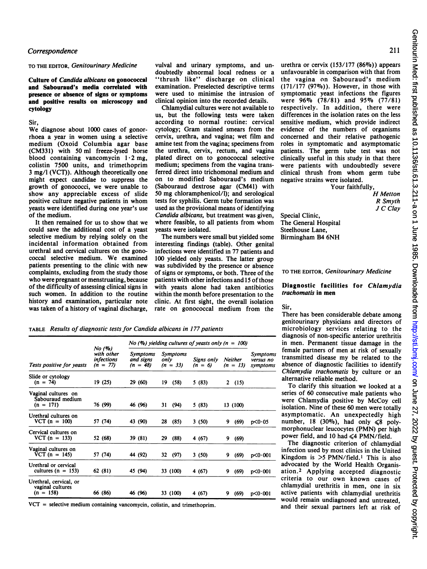# TO THE EDITOR, Genitourinary Medicine

Culture of Candida albicans on gonococcal and Sabouraud's media correlated with presence or absence of signs or symptoms and positive results on microscopy and cytology

Sir,

We diagnose about 1000 cases of gonorrhoea a year in women using a selective medium (Oxoid Columbia agar base (CM331) with 50 ml freeze-lysed horse blood containing vancomycin  $1 \cdot 2$  mg, colistin 7500 units, and trimethoprim 3 mg/l (VCT)). Although theoretically one might expect candidae to suppress the growth of gonococci, we were unable to show any appreciable excess of slide positive culture negative patients in whom yeasts were identified during one year's use of the medium.

It then remained for us to show that we could save the additional cost of a yeast selective medium by relying solely on the incidental information obtained from urethral and cervical cultures on the gonococcal selective medium. We examined patients presenting to the clinic with new complaints, excluding from the study those who were pregnant or menstruating, because of the difficulty of assessing clinical signs in such women. In addition to the routine history and examination, particular note was taken of a history of vaginal discharge,

vulval and urinary symptoms, and undoubtedly abnormal local redness or a "thrush like" discharge on clinical examination. Preselected descriptive terms were used to minimise the intrusion of clinical opinion into the recorded details.

Chlamydial cultures were not available to us, but the following tests were taken according to normal routine: cervical cytology; Gram stained smears from the cervix, urethra, and vagina; wet film and amine test from the vagina; specimens from the urethra, cervix, rectum, and vagina plated direct on to gonococcal selective medium; specimens from the vagina transferred direct into trichomonal medium and on to modified Sabouraud's medium (Sabouraud dextrose agar (CM41) with 50 mg chloramphenicol/l); and serological tests for syphilis. Germ tube formation was used as the provisional means of identifying Candida albicans, but treatment was given, where feasible, to all patients from whom yeasts were isolated.

The numbers were small but yielded some interesting findings (table). Other genital infections were identified in 77 patients and 100 yielded only yeasts. The latter group was subdivided by the presence or absence of signs or symptoms, or both. Three of the patients with other infections and 15 of those with yeasts alone had taken antibiotics within the month before presentation to the clinic. At first sight, the overall isolation rate on gonococcal medium from the urethra or cervix (153/177 (86%)) appears unfavourable in comparison with that from the vagina on Sabouraud's medium  $(171/177 (97%))$ . However, in those with symptomatic yeast infections the figures were 96% (78/81) and 95% (77/81) respectively. In addition, there were differences in the isolation rates on the less sensitive medium, which provide indirect evidence of the numbers of organisms concerned and their relative pathogenic roles in symptomatic and asymptomatic patients. The germ tube test was not clinically useful in this study in that there were patients with undoubtedly severe clinical thrush from whom germ tube negative strains were isolated.

Your faithfully,

H Metton R Smyth J C Clay

Special Clinic, The General Hospital Steelhouse Lane, Birmingham B4 6NH

TO THE EDITOR, Genitourinary Medicine

Diagnostic facilities for Chlamydia trachomatis in men

Sir,

There has been considerable debate among genitourinary physicians and directors of microbiology services relating to the diagnosis of non-specific anterior urethritis in men. Permanent tissue damage in the female partners of men at risk of sexually transmitted disease my be related to the absence of diagnostic facilities to identify Chlamydia trachomatis by culture or an alternative reliable method.

To clarify this situation we looked at a series of 60 consecutive male patients who were Chlamydia positive by McCoy cell isolation. Nine of these 60 men were totally asymptomatic. An unexpectedly high number, 18 (30%), had only  $\leq 8$  polymorphonuclear leucocytes (PMN) per high power field, and 10 had  $\leq 4$  PMN/field.

The diagnostic criterion of chlamydial infection used by most clinics in the United Kingdom is  $>5$  PMN/field.<sup>1</sup> This is also advocated by the World Health Organisation.2 Applying accepted diagnostic criteria to our own known cases of chlamydial urethritis in men, one in six active patients with chlamydial urethritis would remain undiagnosed and untreated, and their sexual partners left at risk of

|  | TABLE Results of diagnostic tests for Candida albicans in 177 patients |  |  |  |
|--|------------------------------------------------------------------------|--|--|--|
|  |                                                                        |  |  |  |

|                                                           | No (%)<br>with other<br>infections<br>$(n = 77)$<br>19 (25) | No (%) yielding cultures of yeasts only $(n = 100)$   |                                       |                                  |                       |                                   |
|-----------------------------------------------------------|-------------------------------------------------------------|-------------------------------------------------------|---------------------------------------|----------------------------------|-----------------------|-----------------------------------|
| Tests positive for yeasts                                 |                                                             | <b>Symptoms</b><br>and signs<br>$(n = 48)$<br>29 (60) | <i>Symptoms</i><br>only<br>$(n = 33)$ | Signs only<br>$(n = 6)$<br>5(83) | Neither<br>$(n = 13)$ | Symptoms<br>versus no<br>symptoms |
| Slide or cytology<br>$(n = 74)$                           |                                                             |                                                       | 19<br>(58)                            |                                  | (15)<br>2             |                                   |
| Vaginal cultures on<br>Sabouraud medium<br>$(n = 171)$    | 76 (99)                                                     | 46 (96)                                               | (94)<br>31                            | 5(83)                            | 13 (100)              |                                   |
| Urethral cultures on<br>$VCT (n = 100)$                   | 57 (74)                                                     | 43 (90)                                               | (85)<br>28                            | 3(50)                            | (69)<br>9             | p < 0.05                          |
| Cervical cultures on<br>$VCT (n = 133)$                   | 52 (68)                                                     | 39 (81)                                               | (88)<br>29                            | 4 (67)                           | (69)<br>9             |                                   |
| Vaginal cultures on<br>$\bar{V}CT (n = 145)$              | 57 (74)                                                     | 44 (92)                                               | (97)<br>32                            | 3(50)                            | (69)<br>9             | p < 0.001                         |
| Urethral or cervical<br>cultures ( $n = 153$ )            | 62 (81)                                                     | 45 (94)                                               | 33 (100)                              | 4 (67)                           | (69)<br>9.            | p < 0.001                         |
| Urethral, cervical, or<br>vaginal cultures<br>$(n = 158)$ | 66 (86)                                                     | 46 (96)                                               | 33 (100)                              | 4 (67)                           | 9<br>(69)             | p < 0.001                         |

 $VCT$  = selective medium containing vancomycin, colistin, and trimethoprim.

211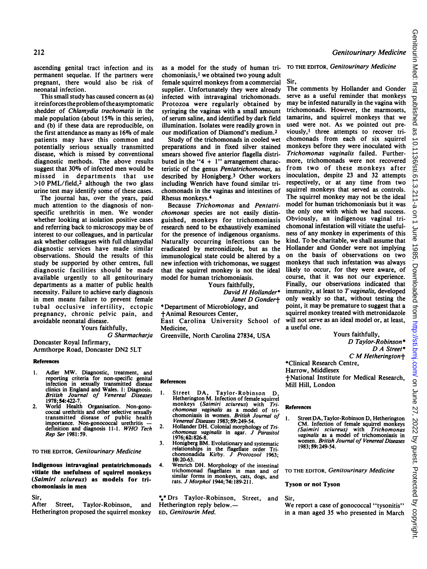ascending genital tract infection and its permanent sequelae. If the partners were pregnant, there would also be risk of neonatal infection.

This small study has caused concern as (a) it reinforces the problem of the asymptomatic shedder of Chiamydia trachomatis in the male population (about 15% in this series), and (b) if these data are reproducible, on the first attendance as many as 16% of male patients may have this common and potentially serious sexually transmitted disease, which is missed by conventional diagnostic methods. The above results suggest that 30% of infected men would be missed in departments that use >10 PML/field,<sup>2</sup> although the two glass urine test may identify some of these cases.

The journal has, over the years, paid much attention to the diagnosis of nonspecific urethritis in men. We wonder whether looking at isolation positive cases and referring back to microscopy may be of interest to our colleagues, and in particular ask whether colleagues with full chlamydial diagnostic services have made similar observations. Should the results of this study be supported by other centres, full diagnostic facilities should be made available urgently to all genitourinary departments as a matter of public health necessity. Failure to achieve early diagnosis in men means failure to prevent female tubal occlusive infertility, ectopic pregnancy, chronic pelvic pain, and avoidable neonatal disease.

Yours faithfully,

G Sharmacharja

Doncaster Royal Infirmary, Armthorpe Road, Doncaster DN2 5LT

#### References

- 1. Adler MW. Diagnostic, treatment, and reporting criteria for non-specific genital infection in sexually transmitted disease clinics in England and Wales. 1: Diagnosis. British Journal of Venereal Diseases 1978; 54:422-7.
- 2. World Health Organisation. Non-gonococcal urethritis and other selective sexually transmitted disease of public health importance. Non-gonococcal urethritis definition and diagnosis 11-1. WHO Tech Rep Ser 1981:59.

### TO THE EDITOR, Genitourinary Medicine

Indigenous intravaginal pentatrichmonads vitiate the usefulness of squirrel monkeys (Saimiri sciureus) as models for trichomoniasis in men

## Sir,

After Street, Taylor-Robinson, and Hetherington proposed the squirrel monkey as a model for the study of human trichomoniasis,<sup>1</sup> we obtained two young adult female squirrel monkeys from a commercial supplier. Unfortunately they were already infected with intravaginal trichomonads. Protozoa were regularly obtained by syringing the vaginas with a small amount of serum saline, and identified by dark field illumination. Isolates were readily grown in our modification of Diamond's medium.2

Study of the trichomonads in cooled wet preparations and in fixed silver stained smears showed five anterior flagella distributed in the "4  $+$  1" arrangement characteristic of the genus Pentatrichomonas, as described by Honigberg.3 Other workers including Wenrich have found similar trichomonads in the vaginas and intestines of Rhesus monkeys.4

Because Trichomonas and Pentatrichomonas species are not easily distinguished, monkeys for trichomoniasis research need to be exhaustively examined for the presence of indigenous organisms. Naturally occurring infections can be eradicated by metronidizole, but as the immunological state could be altered by a new infection with trichomonas, we suggest that the squirrel monkey is not the ideal model for human trichomoniasis.

Yours faithfully,

David H Hollander\* Janet D Gonder+

\*Department of Microbiology, and tAnimal Resources Center, East Carolina University School of Medicine,

Greenville, North Carolina 27834, USA

#### References

- I. Street DA, Taylor-Robinson D, Hetherington M. Infection of female squirrel monkeys (Saimiri sciureus) with Trichomonas vaginalis as a model of trichomoniasis in women. British Journal of Venereal Diseases 1983;59:249-54.
- 2. Hollander DH. Colonial morphology of Trichomonas vaginalis in agar. J Parasitol 1976;62:826-8.
- 3. Honigberg BM. Evolutionary and systematic relationships in the flagellate order Tri-<br>chomonadida Kirby. J Protozool 1963; 10:20-63.
- 4. Wenrich DH. Morphology of the intestinal trichomonad flagellates in man and of similar forms in monkeys, cats, dogs, and rats. JMorphol 1944; 74:189-211.

\*\* Drs Taylor-Robinson, Street, and Hetherington reply below.— ED, Genitourin Med.

TO THE EDITOR, Genitourinary Medicine

Sir,

The comments by Hollander and Gonder serve as a useful reminder that monkeys may be infested naturally in the vagina with trichomonads. However, the marmosets, tamarins, and squirrel monkeys that we used were not. As we pointed out previously,' three attempts to recover trichomonads from each of six squirrel monkeys before they were inoculated with Trichomonas vaginalis failed. Furthermore, trichomonads were not recovered from two of these monkeys after inoculation, despite 23 and 32 attempts respectively, or at any time from two squirrel monkeys that served as controls. The squirrel monkey may not be the ideal model for human trichomoniasis but it was the only one with which we had success. Obviously, an indigenous vaginal trichomonal infestation will vitiate the usefulness of any monkey in experiments of this kind. To be charitable, we shall assume that Hollander and Gonder were not implying on the basis of observations on two monkeys that such infestation was always likely to occur, for they were aware, of course, that it was not our experience. Finally, our observations indicated that immunity, at least to  $T$  vaginalis, developed only weakly so that, without testing the point, it may be premature to suggest that a squirrel monkey treated with metronidazole will not serve as an ideal model or, at least, a useful one.

Yours faithfully,

D Taylor-Robinson\*

D A Street\*  $C M$  Hetherington+

\*Clinical Research Centre, Harrow, Middlesex

tNational Institute for Medical Research, Mill Hill, London

#### References

1. Street DA, Taylor-Robinson D, Hetherington CM. Infection of female squirrel monkeys (Saimiri sciureus) with Trichomonas<br>vaginalis as a model of trichomoniasis in vaginalis as a model of trichomoniasis in<br>women. *British Journal of Venereal Diseases*<br>1983; **59:** 249-54.

TO THE EDITOR, Genitourinary Medicine

#### Tyson or not Tyson

# Sir,

We report a case of gonococcal "tysonitis" in a man aged 35 who presented in March